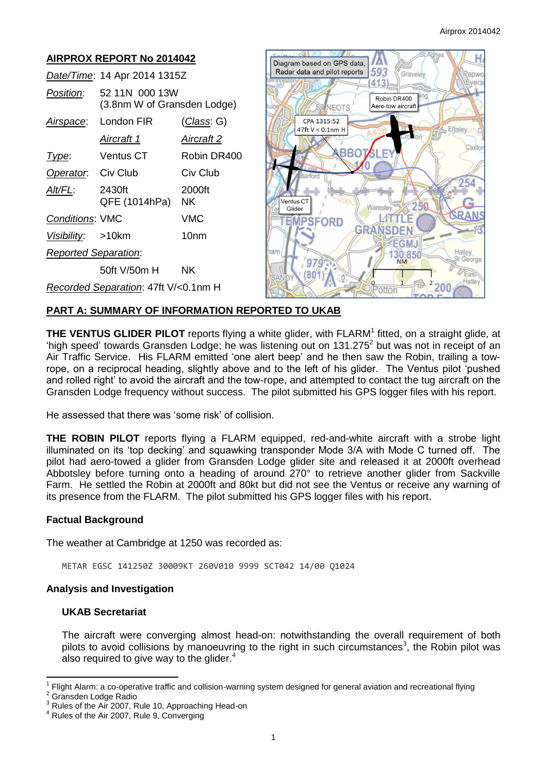

# **PART A: SUMMARY OF INFORMATION REPORTED TO UKAB**

**THE VENTUS GLIDER PILOT** reports flying a white glider, with FLARM<sup>1</sup> fitted, on a straight glide, at 'high speed' towards Gransden Lodge; he was listening out on  $131.275^2$  but was not in receipt of an Air Traffic Service. His FLARM emitted 'one alert beep' and he then saw the Robin, trailing a towrope, on a reciprocal heading, slightly above and to the left of his glider. The Ventus pilot 'pushed and rolled right' to avoid the aircraft and the tow-rope, and attempted to contact the tug aircraft on the Gransden Lodge frequency without success. The pilot submitted his GPS logger files with his report.

He assessed that there was 'some risk' of collision.

**THE ROBIN PILOT** reports flying a FLARM equipped, red-and-white aircraft with a strobe light illuminated on its 'top decking' and squawking transponder Mode 3/A with Mode C turned off. The pilot had aero-towed a glider from Gransden Lodge glider site and released it at 2000ft overhead Abbotsley before turning onto a heading of around 270° to retrieve another glider from Sackville Farm. He settled the Robin at 2000ft and 80kt but did not see the Ventus or receive any warning of its presence from the FLARM. The pilot submitted his GPS logger files with his report.

#### **Factual Background**

The weather at Cambridge at 1250 was recorded as:

METAR EGSC 141250Z 30009KT 260V010 9999 SCT042 14/00 Q1024

### **Analysis and Investigation**

# **UKAB Secretariat**

The aircraft were converging almost head-on: notwithstanding the overall requirement of both pilots to avoid collisions by manoeuvring to the right in such circumstances<sup>3</sup>, the Robin pilot was also required to give way to the glider.<sup>4</sup>

 $\overline{a}$ 1 Flight Alarm: a co-operative traffic and collision-warning system designed for general aviation and recreational flying

<sup>2</sup> Gransden Lodge Radio

Rules of the Air 2007, Rule 10, Approaching Head-on

Rules of the Air 2007, Rule 9, Converging